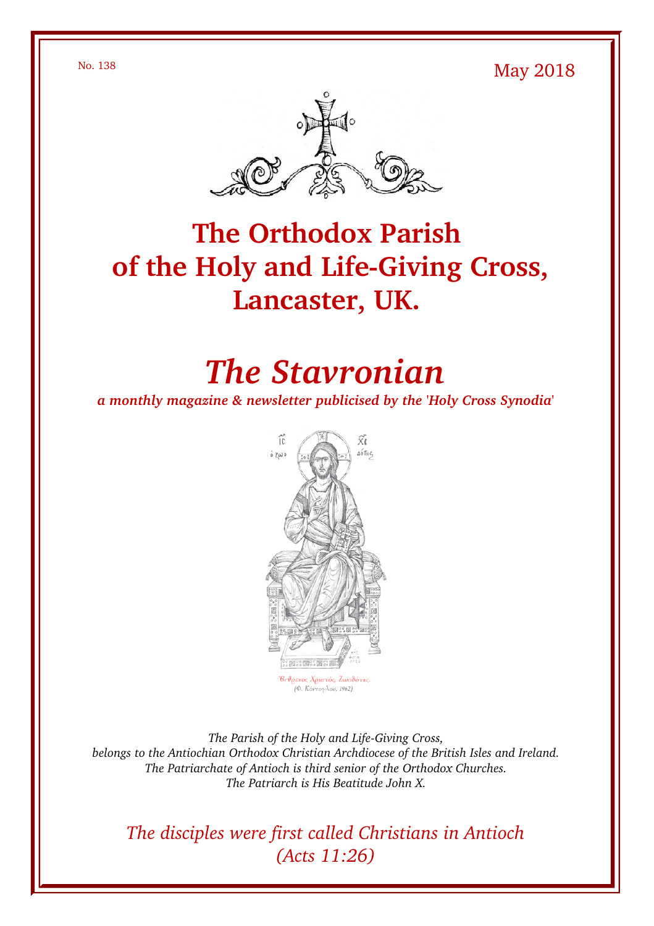$\mu$ <sup>No. 138</sup> May 2018



# **The Orthodox Parish** of the Holy and Life-Giving Cross, **Lancaster, UK.**

# *The Stavronian*

*a monthly magazine & newsletter publicised by the 'Holy Cross Synodia'*



The Parish of the Holy and Life-Giving Cross, *belongs to the Antiochian Orthodox Christian Archdiocese of the British Isles and Ireland. The Patriarchate of Antioch is third senior of the Orthodox Churches. The Patriarch is His Beatitude John X.*

*The disciples were first called Christians in Antioch (Acts 11:26)*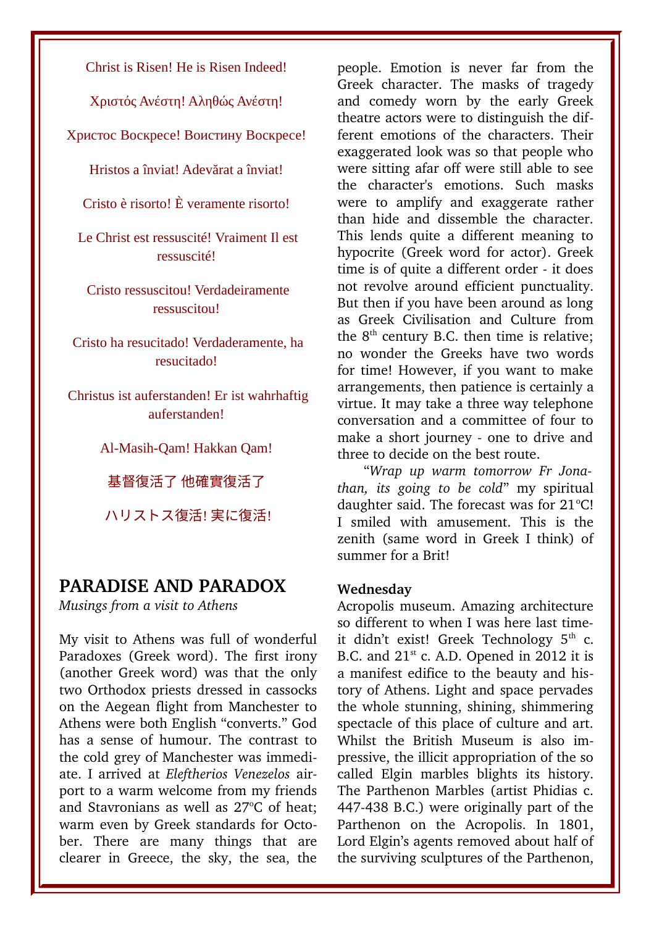Christ is Risen! He is Risen Indeed!

Χριστός Ανέστη! Αληθώς Ανέστη!

Христос Воскресе! Воистину Воскресе!

Hristos a înviat! Adevărat a înviat!

Cristo è risorto! È veramente risorto!

Le Christ est ressuscité! Vraiment Il est ressuscité!

Cristo ressuscitou! Verdadeiramente ressuscitou!

Cristo ha resucitado! Verdaderamente, ha resucitado!

Christus ist auferstanden! Er ist wahrhaftig auferstanden!

Al-Masih-Qam! Hakkan Qam!

基督復活了 他確實復活了

ハリストス復活! 実に復活!

### **PARADISE AND PARADOX**

*Musings from a visit to Athens*

My visit to Athens was full of wonderful Paradoxes (Greek word). The first irony (another Greek word) was that the only two Orthodox priests dressed in cassocks on the Aegean flight from Manchester to Athens were both English "converts." God has a sense of humour. The contrast to the cold grey of Manchester was immediate. I arrived at *Eleftherios Venezelos* airport to a warm welcome from my friends and Stavronians as well as  $27^{\circ}$ C of heat; warm even by Greek standards for October. There are many things that are clearer in Greece, the sky, the sea, the

people. Emotion is never far from the Greek character. The masks of tragedy and comedy worn by the early Greek theatre actors were to distinguish the different emotions of the characters. Their exaggerated look was so that people who were sitting afar off were still able to see the character's emotions. Such masks were to amplify and exaggerate rather than hide and dissemble the character. This lends quite a different meaning to hypocrite (Greek word for actor). Greek time is of quite a different order - it does not revolve around efficient punctuality. But then if you have been around as long as Greek Civilisation and Culture from the  $8<sup>th</sup>$  century B.C. then time is relative: no wonder the Greeks have two words for time! However, if you want to make arrangements, then patience is certainly a virtue. It may take a three way telephone conversation and a committee of four to make a short journey - one to drive and three to decide on the best route.

"*Wrap up warm tomorrow Fr Jonathan, its going to be cold*" my spiritual daughter said. The forecast was for  $21^{\circ}$ C! I smiled with amusement. This is the zenith (same word in Greek I think) of summer for a Brit!

#### **Wednesday**

Acropolis museum. Amazing architecture so different to when I was here last timeit didn't exist! Greek Technology  $5<sup>th</sup>$  c. B.C. and  $21<sup>st</sup>$  c. A.D. Opened in 2012 it is a manifest edifice to the beauty and history of Athens. Light and space pervades the whole stunning, shining, shimmering spectacle of this place of culture and art. Whilst the British Museum is also impressive, the illicit appropriation of the so called Elgin marbles blights its history. The Parthenon Marbles (artist Phidias c. 447-438 B.C.) were originally part of the Parthenon on the Acropolis. In 1801, Lord Elgin's agents removed about half of the surviving sculptures of the Parthenon,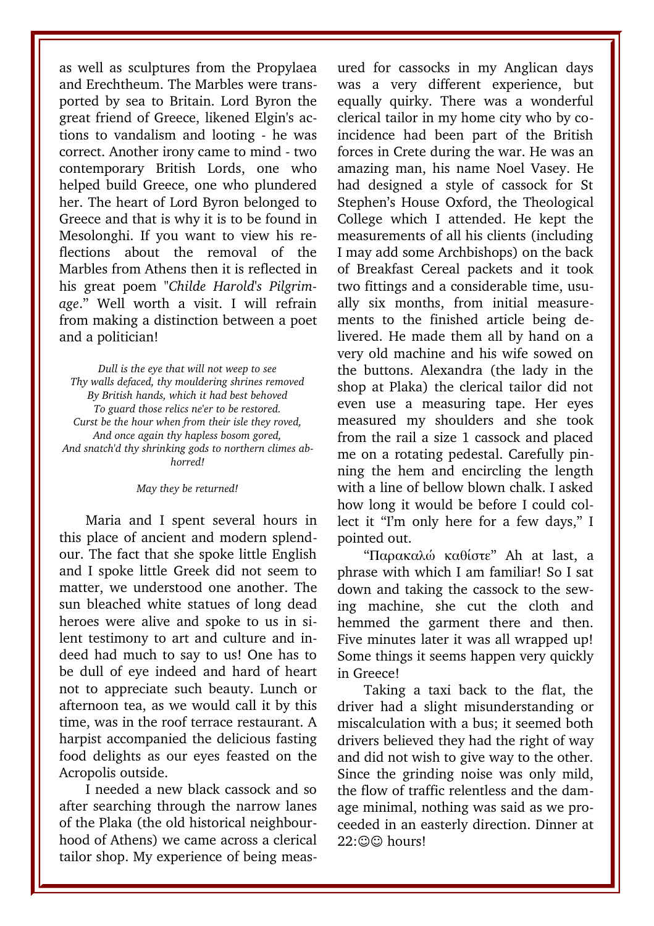as well as sculptures from the Propylaea and Erechtheum. The Marbles were transported by sea to Britain. Lord Byron the great friend of Greece, likened Elgin's actions to vandalism and looting - he was correct. Another irony came to mind - two contemporary British Lords, one who helped build Greece, one who plundered her. The heart of Lord Byron belonged to Greece and that is why it is to be found in Mesolonghi. If you want to view his reflections about the removal of the Marbles from Athens then it is reflected in his great poem "*Childe Harold's Pilgrimage*." Well worth a visit. I will refrain from making a distinction between a poet and a politician!

*Dull is the eye that will not weep to see Thy walls defaced, thy mouldering shrines removed By British hands, which it had best behoved To guard those relics ne'er to be restored. Curst be the hour when from their isle they roved, And once again thy hapless bosom gored, And snatch'd thy shrinking gods to northern climes abhorred!*

#### *May they be returned!*

Maria and I spent several hours in this place of ancient and modern splendour. The fact that she spoke little English and I spoke little Greek did not seem to matter, we understood one another. The sun bleached white statues of long dead heroes were alive and spoke to us in silent testimony to art and culture and indeed had much to say to us! One has to be dull of eye indeed and hard of heart not to appreciate such beauty. Lunch or afternoon tea, as we would call it by this time, was in the roof terrace restaurant. A harpist accompanied the delicious fasting food delights as our eyes feasted on the Acropolis outside.

I needed a new black cassock and so after searching through the narrow lanes of the Plaka (the old historical neighbourhood of Athens) we came across a clerical tailor shop. My experience of being measured for cassocks in my Anglican days was a very different experience, but equally quirky. There was a wonderful clerical tailor in my home city who by coincidence had been part of the British forces in Crete during the war. He was an amazing man, his name Noel Vasey. He had designed a style of cassock for St Stephen's House Oxford, the Theological College which I attended. He kept the measurements of all his clients (including I may add some Archbishops) on the back of Breakfast Cereal packets and it took two fittings and a considerable time, usually six months, from initial measurements to the finished article being delivered. He made them all by hand on a very old machine and his wife sowed on the buttons. Alexandra (the lady in the shop at Plaka) the clerical tailor did not even use a measuring tape. Her eyes measured my shoulders and she took from the rail a size 1 cassock and placed me on a rotating pedestal. Carefully pinning the hem and encircling the length with a line of bellow blown chalk. I asked how long it would be before I could collect it "I'm only here for a few days," I pointed out.

"Παρακαλώ καθίστε" Ah at last, a phrase with which I am familiar! So I sat down and taking the cassock to the sewing machine, she cut the cloth and hemmed the garment there and then. Five minutes later it was all wrapped up! Some things it seems happen very quickly in Greece!

Taking a taxi back to the flat, the driver had a slight misunderstanding or miscalculation with a bus; it seemed both drivers believed they had the right of way and did not wish to give way to the other. Since the grinding noise was only mild, the flow of traffic relentless and the damage minimal, nothing was said as we proceeded in an easterly direction. Dinner at 22:©© hours!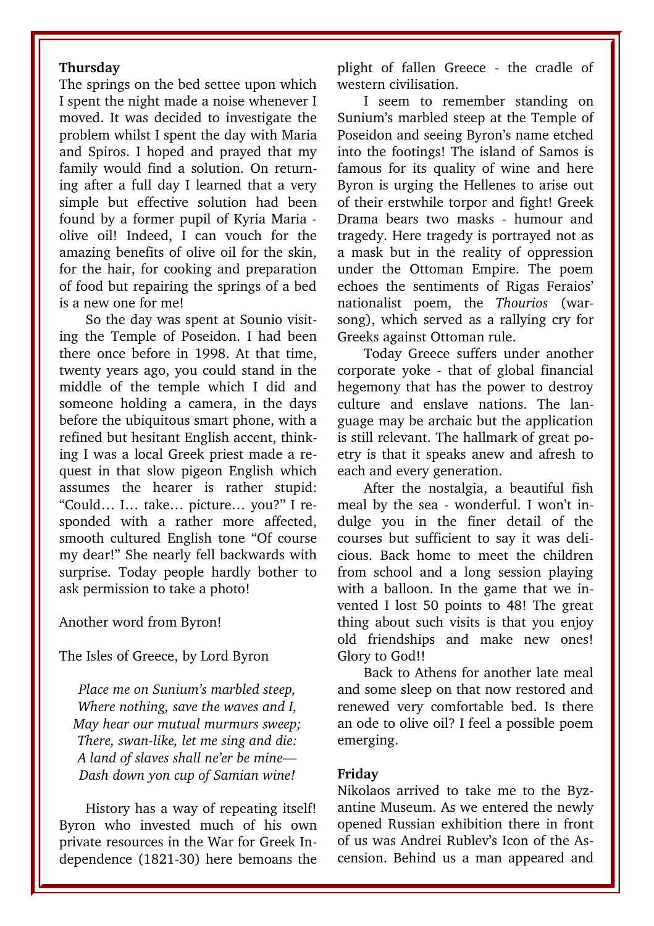#### **Thursday**

The springs on the bed settee upon which I spent the night made a noise whenever I moved. It was decided to investigate the problem whilst I spent the day with Maria and Spiros. I hoped and prayed that my family would find a solution. On returning after a full day I learned that a very simple but effective solution had been found by a former pupil of Kyria Maria olive oil! Indeed, I can vouch for the amazing benefits of olive oil for the skin, for the hair, for cooking and preparation of food but repairing the springs of a bed is a new one for me!

So the day was spent at Sounio visiting the Temple of Poseidon. I had been there once before in 1998. At that time, twenty years ago, you could stand in the middle of the temple which I did and someone holding a camera, in the days before the ubiquitous smart phone, with a refined but hesitant English accent, thinking I was a local Greek priest made a request in that slow pigeon English which assumes the hearer is rather stupid: "Could… I… take… picture… you?" I responded with a rather more affected, smooth cultured English tone "Of course my dear!" She nearly fell backwards with surprise. Today people hardly bother to ask permission to take a photo!

#### Another word from Byron!

#### The Isles of Greece, by Lord Byron

*Place me on Sunium's marbled steep, Where nothing, save the waves and I, May hear our mutual murmurs sweep; There, swan-like, let me sing and die: A land of slaves shall ne'er be mine— Dash down yon cup of Samian wine!*

History has a way of repeating itself! Byron who invested much of his own private resources in the War for Greek Independence (1821-30) here bemoans the plight of fallen Greece - the cradle of western civilisation.

I seem to remember standing on Sunium's marbled steep at the Temple of Poseidon and seeing Byron's name etched into the footings! The island of Samos is famous for its quality of wine and here Byron is urging the Hellenes to arise out of their erstwhile torpor and fight! Greek Drama bears two masks - humour and tragedy. Here tragedy is portrayed not as a mask but in the reality of oppression under the Ottoman Empire. The poem echoes the sentiments of Rigas Feraios' nationalist poem, the *Thourios* (warsong), which served as a rallying cry for Greeks against Ottoman rule.

Today Greece suffers under another corporate yoke - that of global financial hegemony that has the power to destroy culture and enslave nations. The language may be archaic but the application is still relevant. The hallmark of great poetry is that it speaks anew and afresh to each and every generation.

After the nostalgia, a beautiful fish meal by the sea - wonderful. I won't indulge you in the finer detail of the courses but sufficient to say it was delicious. Back home to meet the children from school and a long session playing with a balloon. In the game that we invented I lost 50 points to 48! The great thing about such visits is that you enjoy old friendships and make new ones! Glory to God!!

Back to Athens for another late meal and some sleep on that now restored and renewed very comfortable bed. Is there an ode to olive oil? I feel a possible poem emerging.

#### **Friday**

Nikolaos arrived to take me to the Byzantine Museum. As we entered the newly opened Russian exhibition there in front of us was Andrei Rublev's Icon of the Ascension. Behind us a man appeared and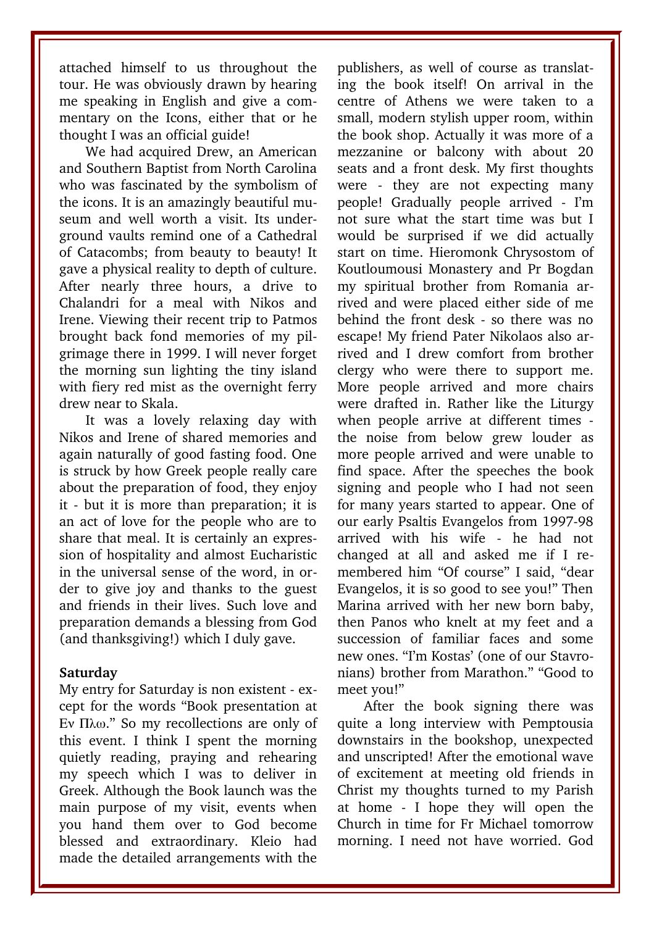attached himself to us throughout the tour. He was obviously drawn by hearing me speaking in English and give a commentary on the Icons, either that or he thought I was an official guide!

We had acquired Drew, an American and Southern Baptist from North Carolina who was fascinated by the symbolism of the icons. It is an amazingly beautiful museum and well worth a visit. Its underground vaults remind one of a Cathedral of Catacombs; from beauty to beauty! It gave a physical reality to depth of culture. After nearly three hours, a drive to Chalandri for a meal with Nikos and Irene. Viewing their recent trip to Patmos brought back fond memories of my pilgrimage there in 1999. I will never forget the morning sun lighting the tiny island with fiery red mist as the overnight ferry drew near to Skala.

It was a lovely relaxing day with Nikos and Irene of shared memories and again naturally of good fasting food. One is struck by how Greek people really care about the preparation of food, they enjoy it - but it is more than preparation; it is an act of love for the people who are to share that meal. It is certainly an expression of hospitality and almost Eucharistic in the universal sense of the word, in order to give joy and thanks to the guest and friends in their lives. Such love and preparation demands a blessing from God (and thanksgiving!) which I duly gave.

#### **Saturday**

My entry for Saturday is non existent - except for the words "Book presentation at Εν Πλω." So my recollections are only of this event. I think I spent the morning quietly reading, praying and rehearing my speech which I was to deliver in Greek. Although the Book launch was the main purpose of my visit, events when you hand them over to God become blessed and extraordinary. Kleio had made the detailed arrangements with the

publishers, as well of course as translating the book itself! On arrival in the centre of Athens we were taken to a small, modern stylish upper room, within the book shop. Actually it was more of a mezzanine or balcony with about 20 seats and a front desk. My first thoughts were - they are not expecting many people! Gradually people arrived I'm not sure what the start time was but I would be surprised if we did actually start on time. Hieromonk Chrysostom of Koutloumousi Monastery and Pr Bogdan my spiritual brother from Romania arrived and were placed either side of me behind the front desk - so there was no escape! My friend Pater Nikolaos also arrived and I drew comfort from brother clergy who were there to support me. More people arrived and more chairs were drafted in. Rather like the Liturgy when people arrive at different times the noise from below grew louder as more people arrived and were unable to find space. After the speeches the book signing and people who I had not seen for many years started to appear. One of our early Psaltis Evangelos from 1997-98 arrived with his wife - he had not changed at all and asked me if I remembered him "Of course" I said, "dear Evangelos, it is so good to see you!" Then Marina arrived with her new born baby, then Panos who knelt at my feet and a succession of familiar faces and some new ones. "I'm Kostas' (one of our Stavronians) brother from Marathon." "Good to meet you!"

After the book signing there was quite a long interview with Pemptousia downstairs in the bookshop, unexpected and unscripted! After the emotional wave of excitement at meeting old friends in Christ my thoughts turned to my Parish at home - I hope they will open the Church in time for Fr Michael tomorrow morning. I need not have worried. God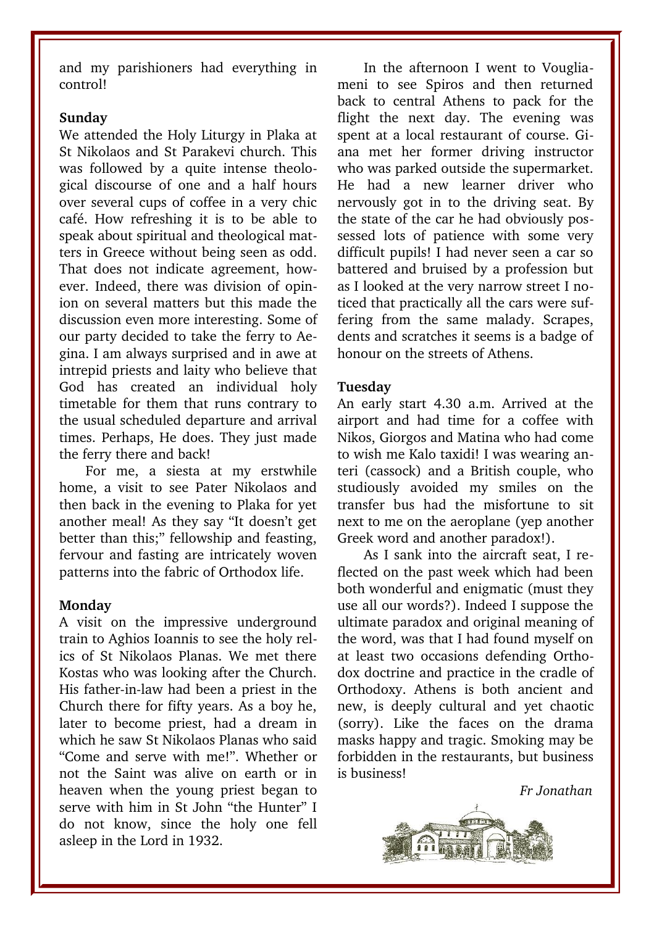and my parishioners had everything in control!

#### **Sunday**

We attended the Holy Liturgy in Plaka at St Nikolaos and St Parakevi church. This was followed by a quite intense theological discourse of one and a half hours over several cups of coffee in a very chic café. How refreshing it is to be able to speak about spiritual and theological matters in Greece without being seen as odd. That does not indicate agreement, however. Indeed, there was division of opinion on several matters but this made the discussion even more interesting. Some of our party decided to take the ferry to Aegina. I am always surprised and in awe at intrepid priests and laity who believe that God has created an individual holy timetable for them that runs contrary to the usual scheduled departure and arrival times. Perhaps, He does. They just made the ferry there and back!

For me, a siesta at my erstwhile home, a visit to see Pater Nikolaos and then back in the evening to Plaka for yet another meal! As they say "It doesn't get better than this;" fellowship and feasting, fervour and fasting are intricately woven patterns into the fabric of Orthodox life.

#### **Monday**

A visit on the impressive underground train to Aghios Ioannis to see the holy relics of St Nikolaos Planas. We met there Kostas who was looking after the Church. His father-in-law had been a priest in the Church there for fifty years. As a boy he, later to become priest, had a dream in which he saw St Nikolaos Planas who said "Come and serve with me!". Whether or not the Saint was alive on earth or in heaven when the young priest began to serve with him in St John "the Hunter" I do not know, since the holy one fell asleep in the Lord in 1932.

In the afternoon I went to Vougliameni to see Spiros and then returned back to central Athens to pack for the flight the next day. The evening was spent at a local restaurant of course. Giana met her former driving instructor who was parked outside the supermarket. He had a new learner driver who nervously got in to the driving seat. By the state of the car he had obviously possessed lots of patience with some very difficult pupils! I had never seen a car so battered and bruised by a profession but as I looked at the very narrow street I noticed that practically all the cars were suffering from the same malady. Scrapes, dents and scratches it seems is a badge of honour on the streets of Athens.

#### **Tuesday**

An early start 4.30 a.m. Arrived at the airport and had time for a coffee with Nikos, Giorgos and Matina who had come to wish me Kalo taxidi! I was wearing anteri (cassock) and a British couple, who studiously avoided my smiles on the transfer bus had the misfortune to sit next to me on the aeroplane (yep another Greek word and another paradox!).

As I sank into the aircraft seat, I reflected on the past week which had been both wonderful and enigmatic (must they use all our words?). Indeed I suppose the ultimate paradox and original meaning of the word, was that I had found myself on at least two occasions defending Orthodox doctrine and practice in the cradle of Orthodoxy. Athens is both ancient and new, is deeply cultural and yet chaotic (sorry). Like the faces on the drama masks happy and tragic. Smoking may be forbidden in the restaurants, but business is business!

*Fr Jonathan*

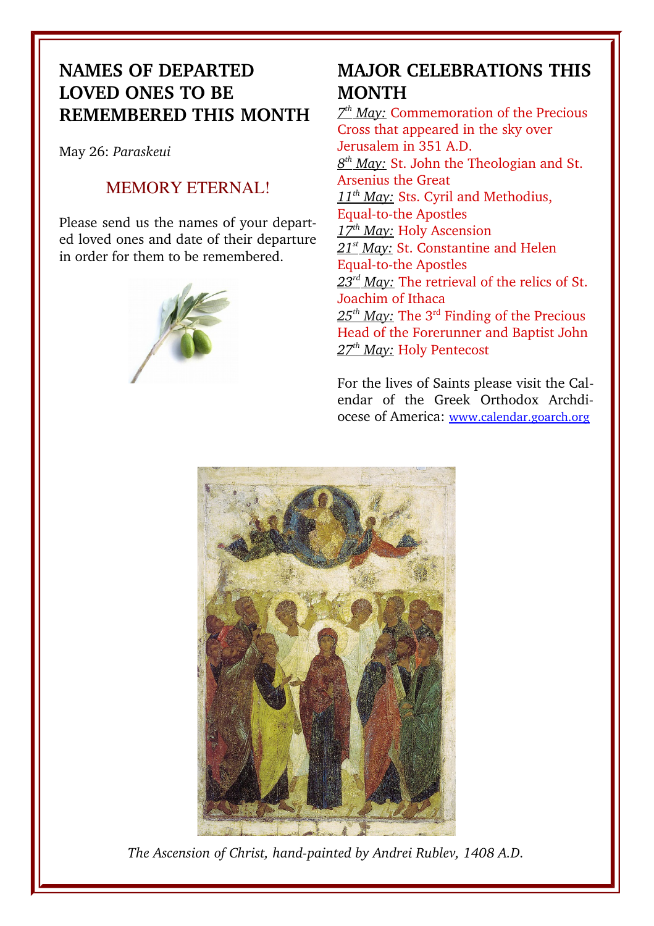## **NAMES OF DEPARTED LOVED ONES TO BE REMEMBERED THIS MONTH**

May 26: *Paraskeui*

### MEMORY ETERNAL!

Please send us the names of your departed loved ones and date of their departure in order for them to be remembered.



## **MAJOR CELEBRATIONS THIS MONTH**

 *7 th May:* Commemoration of the Precious Cross that appeared in the sky over Jerusalem in 351 A.D.  *8 th May:* St. John the Theologian and St. Arsenius the Great  *11th May:* Sts. Cyril and Methodius, Equal-to-the Apostles  *17th May:* Holy Ascension  *21st May:* St. Constantine and Helen Equal-to-the Apostles 23<sup>rd</sup> May: The retrieval of the relics of St. Joachim of Ithaca 25<sup>th</sup> May: The 3<sup>rd</sup> Finding of the Precious Head of the Forerunner and Baptist John  *27th May:* Holy Pentecost

For the lives of Saints please visit the Calendar of the Greek Orthodox Archdiocese of America: [www.calendar.goarch.org](http://www.calendar.goarch.org/)



The Ascension of Christ, hand-painted by Andrei Rublev, 1408 A.D.